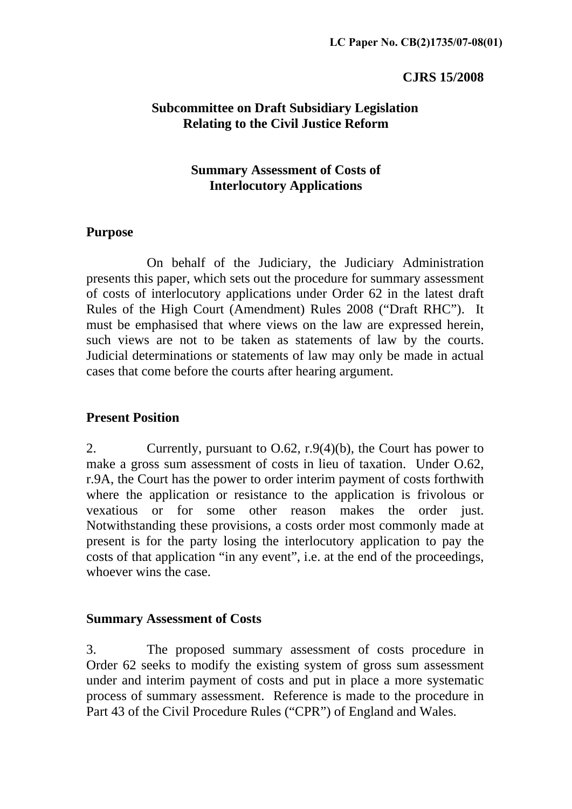#### **CJRS 15/2008**

### **Subcommittee on Draft Subsidiary Legislation Relating to the Civil Justice Reform**

## **Summary Assessment of Costs of Interlocutory Applications**

### **Purpose**

 On behalf of the Judiciary, the Judiciary Administration presents this paper, which sets out the procedure for summary assessment of costs of interlocutory applications under Order 62 in the latest draft Rules of the High Court (Amendment) Rules 2008 ("Draft RHC"). It must be emphasised that where views on the law are expressed herein, such views are not to be taken as statements of law by the courts. Judicial determinations or statements of law may only be made in actual cases that come before the courts after hearing argument.

### **Present Position**

2. Currently, pursuant to O.62, r.9(4)(b), the Court has power to make a gross sum assessment of costs in lieu of taxation. Under O.62, r.9A, the Court has the power to order interim payment of costs forthwith where the application or resistance to the application is frivolous or vexatious or for some other reason makes the order just. Notwithstanding these provisions, a costs order most commonly made at present is for the party losing the interlocutory application to pay the costs of that application "in any event", i.e. at the end of the proceedings, whoever wins the case.

### **Summary Assessment of Costs**

3. The proposed summary assessment of costs procedure in Order 62 seeks to modify the existing system of gross sum assessment under and interim payment of costs and put in place a more systematic process of summary assessment. Reference is made to the procedure in Part 43 of the Civil Procedure Rules ("CPR") of England and Wales.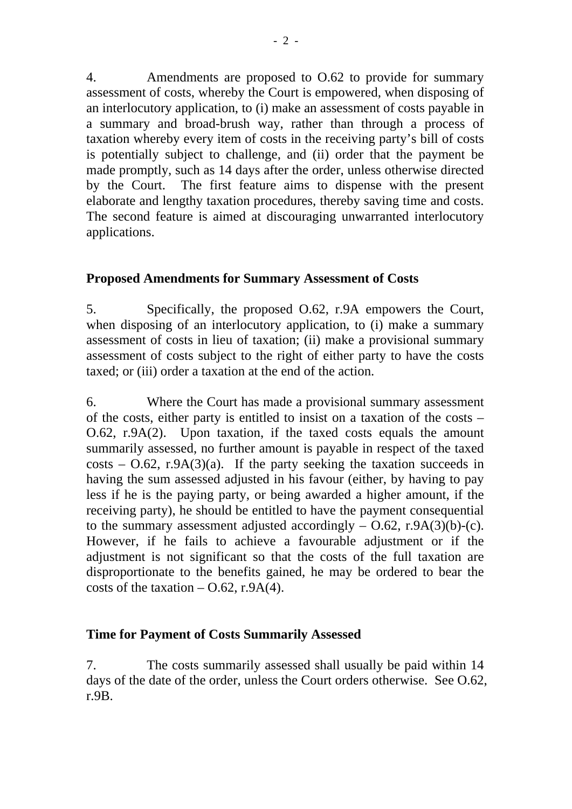4. Amendments are proposed to O.62 to provide for summary assessment of costs, whereby the Court is empowered, when disposing of an interlocutory application, to (i) make an assessment of costs payable in a summary and broad-brush way, rather than through a process of taxation whereby every item of costs in the receiving party's bill of costs is potentially subject to challenge, and (ii) order that the payment be made promptly, such as 14 days after the order, unless otherwise directed by the Court. The first feature aims to dispense with the present elaborate and lengthy taxation procedures, thereby saving time and costs. The second feature is aimed at discouraging unwarranted interlocutory applications.

# **Proposed Amendments for Summary Assessment of Costs**

5. Specifically, the proposed O.62, r.9A empowers the Court, when disposing of an interlocutory application, to (i) make a summary assessment of costs in lieu of taxation; (ii) make a provisional summary assessment of costs subject to the right of either party to have the costs taxed; or (iii) order a taxation at the end of the action.

6. Where the Court has made a provisional summary assessment of the costs, either party is entitled to insist on a taxation of the costs – O.62, r.9A(2). Upon taxation, if the taxed costs equals the amount summarily assessed, no further amount is payable in respect of the taxed  $costs - 0.62$ , r.9A(3)(a). If the party seeking the taxation succeeds in having the sum assessed adjusted in his favour (either, by having to pay less if he is the paying party, or being awarded a higher amount, if the receiving party), he should be entitled to have the payment consequential to the summary assessment adjusted accordingly  $-$  O.62, r.9A(3)(b)-(c). However, if he fails to achieve a favourable adjustment or if the adjustment is not significant so that the costs of the full taxation are disproportionate to the benefits gained, he may be ordered to bear the costs of the taxation  $-$  O.62, r.9A(4).

# **Time for Payment of Costs Summarily Assessed**

7. The costs summarily assessed shall usually be paid within 14 days of the date of the order, unless the Court orders otherwise. See O.62, r.9B.